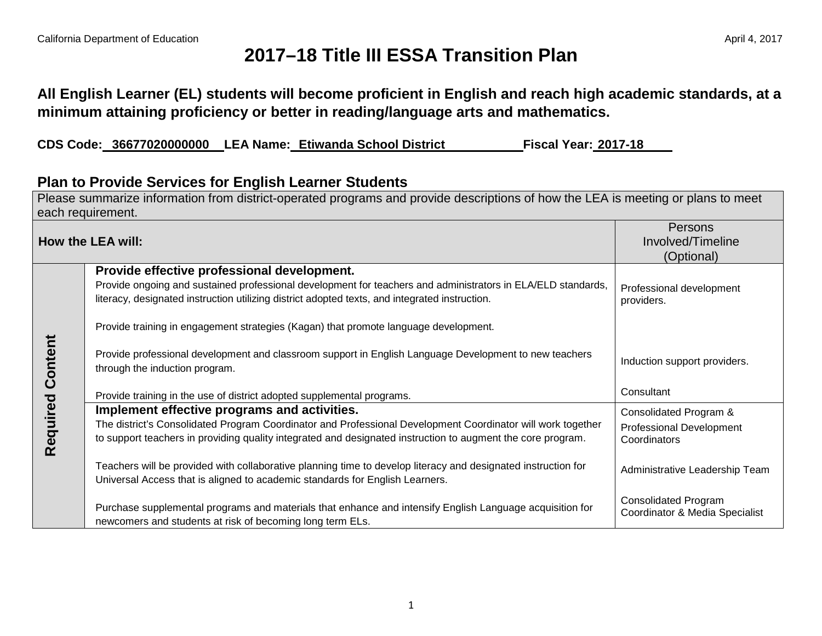## **2017–18 Title III ESSA Transition Plan**

## **All English Learner (EL) students will become proficient in English and reach high academic standards, at a minimum attaining proficiency or better in reading/language arts and mathematics.**

**CDS Code: 36677020000000 LEA Name: Etiwanda School District Fiscal Year: 2017-18**

## **Plan to Provide Services for English Learner Students**

Please summarize information from district-operated programs and provide descriptions of how the LEA is meeting or plans to meet each requirement. Persons **How the LEA will:** Involved/Timeline (Optional) **Provide effective professional development.** Provide ongoing and sustained professional development for teachers and administrators in ELA/ELD standards, Professional development literacy, designated instruction utilizing district adopted texts, and integrated instruction. providers. Provide training in engagement strategies (Kagan) that promote language development. **Required Content Required Content** Provide professional development and classroom support in English Language Development to new teachers Induction support providers. through the induction program. **Consultant** Provide training in the use of district adopted supplemental programs. **Implement effective programs and activities.** Consolidated Program & The district's Consolidated Program Coordinator and Professional Development Coordinator will work together Professional Development to support teachers in providing quality integrated and designated instruction to augment the core program. **Coordinators** Teachers will be provided with collaborative planning time to develop literacy and designated instruction for Administrative Leadership Team Universal Access that is aligned to academic standards for English Learners. Consolidated Program Purchase supplemental programs and materials that enhance and intensify English Language acquisition for Coordinator & Media Specialistnewcomers and students at risk of becoming long term ELs.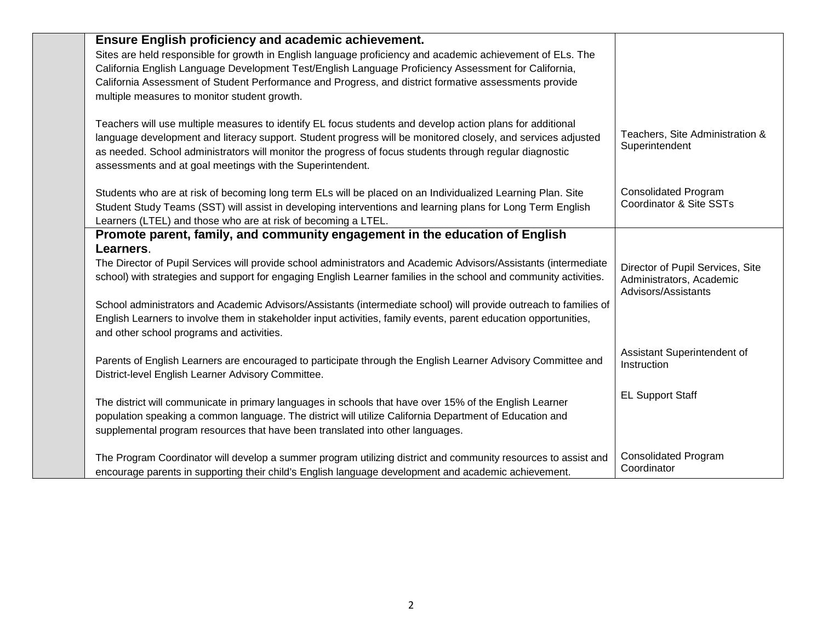| <b>Ensure English proficiency and academic achievement.</b>                                                       |                                            |
|-------------------------------------------------------------------------------------------------------------------|--------------------------------------------|
| Sites are held responsible for growth in English language proficiency and academic achievement of ELs. The        |                                            |
| California English Language Development Test/English Language Proficiency Assessment for California,              |                                            |
| California Assessment of Student Performance and Progress, and district formative assessments provide             |                                            |
| multiple measures to monitor student growth.                                                                      |                                            |
|                                                                                                                   |                                            |
| Teachers will use multiple measures to identify EL focus students and develop action plans for additional         |                                            |
| language development and literacy support. Student progress will be monitored closely, and services adjusted      | Teachers, Site Administration &            |
| as needed. School administrators will monitor the progress of focus students through regular diagnostic           | Superintendent                             |
| assessments and at goal meetings with the Superintendent.                                                         |                                            |
|                                                                                                                   |                                            |
| Students who are at risk of becoming long term ELs will be placed on an Individualized Learning Plan. Site        | <b>Consolidated Program</b>                |
| Student Study Teams (SST) will assist in developing interventions and learning plans for Long Term English        | Coordinator & Site SSTs                    |
| Learners (LTEL) and those who are at risk of becoming a LTEL.                                                     |                                            |
| Promote parent, family, and community engagement in the education of English                                      |                                            |
| Learners.                                                                                                         |                                            |
| The Director of Pupil Services will provide school administrators and Academic Advisors/Assistants (intermediate  | Director of Pupil Services, Site           |
| school) with strategies and support for engaging English Learner families in the school and community activities. | Administrators, Academic                   |
|                                                                                                                   | Advisors/Assistants                        |
| School administrators and Academic Advisors/Assistants (intermediate school) will provide outreach to families of |                                            |
| English Learners to involve them in stakeholder input activities, family events, parent education opportunities,  |                                            |
| and other school programs and activities.                                                                         |                                            |
|                                                                                                                   | Assistant Superintendent of                |
| Parents of English Learners are encouraged to participate through the English Learner Advisory Committee and      | Instruction                                |
| District-level English Learner Advisory Committee.                                                                |                                            |
|                                                                                                                   | <b>EL Support Staff</b>                    |
| The district will communicate in primary languages in schools that have over 15% of the English Learner           |                                            |
| population speaking a common language. The district will utilize California Department of Education and           |                                            |
| supplemental program resources that have been translated into other languages.                                    |                                            |
|                                                                                                                   |                                            |
| The Program Coordinator will develop a summer program utilizing district and community resources to assist and    | <b>Consolidated Program</b><br>Coordinator |
| encourage parents in supporting their child's English language development and academic achievement.              |                                            |